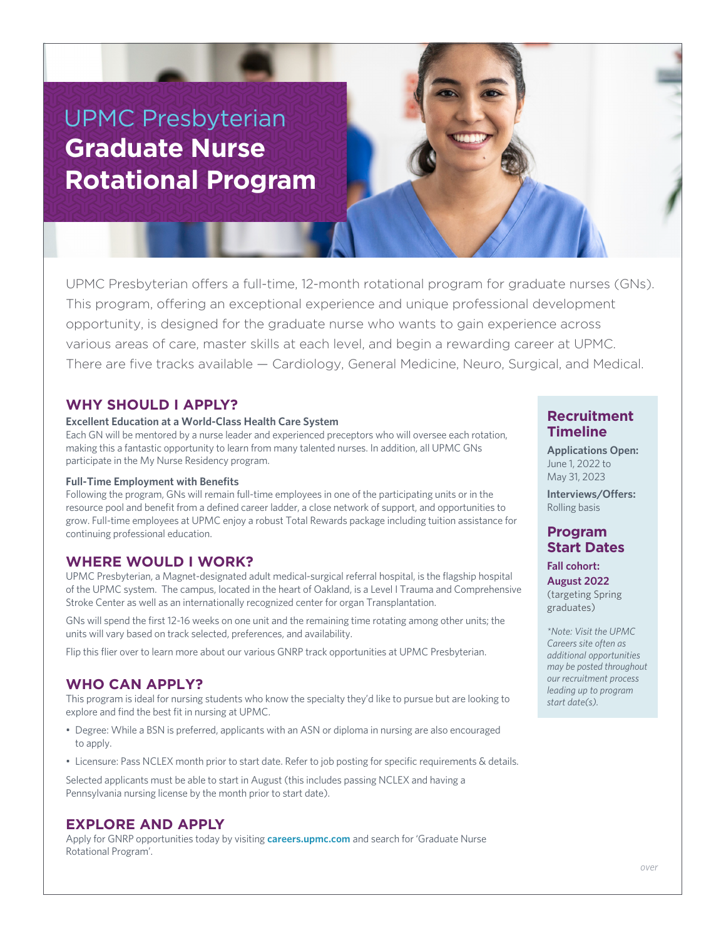# UPMC Presbyterian **Graduate Nurse Rotational Program**

UPMC Presbyterian offers a full-time, 12-month rotational program for graduate nurses (GNs). This program, offering an exceptional experience and unique professional development opportunity, is designed for the graduate nurse who wants to gain experience across various areas of care, master skills at each level, and begin a rewarding career at UPMC. There are five tracks available — Cardiology, General Medicine, Neuro, Surgical, and Medical.

#### **WHY SHOULD I APPLY?**

#### **Excellent Education at a World-Class Health Care System**

Each GN will be mentored by a nurse leader and experienced preceptors who will oversee each rotation, making this a fantastic opportunity to learn from many talented nurses. In addition, all UPMC GNs participate in the My Nurse Residency program.

#### **Full-Time Employment with Benefits**

Following the program, GNs will remain full-time employees in one of the participating units or in the resource pool and benefit from a defined career ladder, a close network of support, and opportunities to grow. Full-time employees at UPMC enjoy a robust Total Rewards package including tuition assistance for continuing professional education.

#### **WHERE WOULD I WORK?**

UPMC Presbyterian, a Magnet-designated adult medical-surgical referral hospital, is the flagship hospital of the UPMC system. The campus, located in the heart of Oakland, is a Level I Trauma and Comprehensive Stroke Center as well as an internationally recognized center for organ Transplantation.

GNs will spend the first 12-16 weeks on one unit and the remaining time rotating among other units; the units will vary based on track selected, preferences, and availability.

Flip this flier over to learn more about our various GNRP track opportunities at UPMC Presbyterian.

#### **WHO CAN APPLY?**

This program is ideal for nursing students who know the specialty they'd like to pursue but are looking to explore and find the best fit in nursing at UPMC.

- Degree: While a BSN is preferred, applicants with an ASN or diploma in nursing are also encouraged to apply.
- Licensure: Pass NCLEX month prior to start date. Refer to job posting for specific requirements & details.

Selected applicants must be able to start in August (this includes passing NCLEX and having a Pennsylvania nursing license by the month prior to start date).

#### **EXPLORE AND APPLY**

Apply for GNRP opportunities today by visiting **careers.upmc.com** and search for 'Graduate Nurse Rotational Program'.

### **Recruitment Timeline**

**Applications Open:** June 1, 2022 to May 31, 2023

**Interviews/Offers:** Rolling basis

# **Program Start Dates**

**Fall cohort: August 2022** (targeting Spring

graduates)

*\*Note: Visit the UPMC Careers site often as additional opportunities may be posted throughout our recruitment process leading up to program start date(s).*